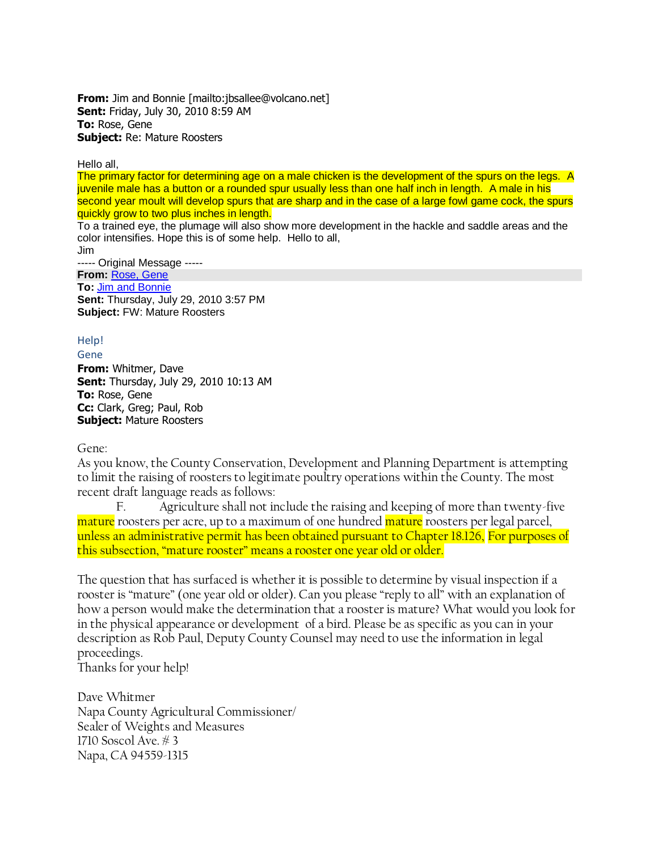**From:** Jim and Bonnie [mailto:jbsallee@volcano.net] **Sent:** Friday, July 30, 2010 8:59 AM **To:** Rose, Gene **Subject:** Re: Mature Roosters

Hello all,

The primary factor for determining age on a male chicken is the development of the spurs on the legs. A juvenile male has a button or a rounded spur usually less than one half inch in length. A male in his second year moult will develop spurs that are sharp and in the case of a large fowl game cock, the spurs quickly grow to two plus inches in length.

To a trained eye, the plumage will also show more development in the hackle and saddle areas and the color intensifies. Hope this is of some help. Hello to all,

Jim ----- Original Message ----- **From:** [Rose, Gene](mailto:GENE.ROSE@countyofnapa.org) **To:** [Jim and Bonnie](mailto:jbsallee@volcano.net) **Sent:** Thursday, July 29, 2010 3:57 PM **Subject:** FW: Mature Roosters

## Help!

Gene

**From:** Whitmer, Dave **Sent:** Thursday, July 29, 2010 10:13 AM **To:** Rose, Gene **Cc:** Clark, Greg; Paul, Rob **Subject:** Mature Roosters

Gene:

As you know, the County Conservation, Development and Planning Department is attempting to limit the raising of roosters to legitimate poultry operations within the County. The most recent draft language reads as follows:

F. Agriculture shall not include the raising and keeping of more than twenty-five mature roosters per acre, up to a maximum of one hundred mature roosters per legal parcel, unless an administrative permit has been obtained pursuant to Chapter 18.126, For purposes of this subsection, "mature rooster" means a rooster one year old or older.

The question that has surfaced is whether it is possible to determine by visual inspection if a rooster is "mature" (one year old or older). Can you please "reply to all" with an explanation of how a person would make the determination that a rooster is mature? What would you look for in the physical appearance or development of a bird. Please be as specific as you can in your description as Rob Paul, Deputy County Counsel may need to use the information in legal proceedings.

Thanks for your help!

Dave Whitmer Napa County Agricultural Commissioner/ Sealer of Weights and Measures 1710 Soscol Ave. # 3 Napa, CA 94559-1315